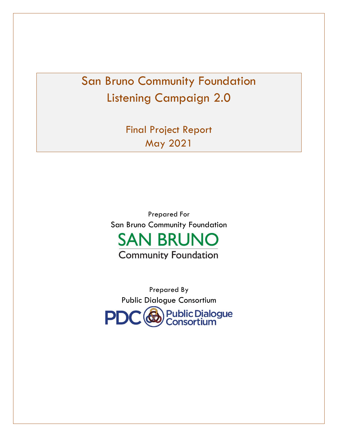# San Bruno Community Foundation Listening Campaign 2.0

Final Project Report May 2021

Prepared For San Bruno Community Foundation **SAN BRUNO** 

**Community Foundation** 

Prepared By Public Dialogue Consortium**Public Dialogue<br>Consortium** PD<sup>(</sup>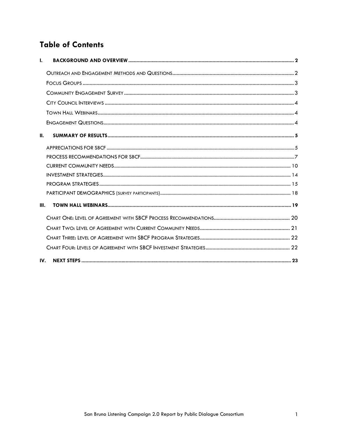## **Table of Contents**

| $\mathbf{L}$ |  |
|--------------|--|
|              |  |
|              |  |
|              |  |
|              |  |
|              |  |
|              |  |
| Ш.           |  |
|              |  |
|              |  |
|              |  |
|              |  |
|              |  |
|              |  |
| III.         |  |
|              |  |
|              |  |
|              |  |
|              |  |
| IV.          |  |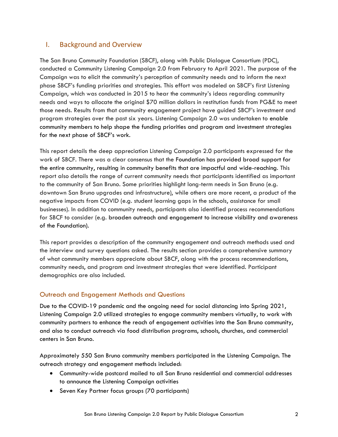## <span id="page-2-0"></span>I. Background and Overview

The San Bruno Community Foundation (SBCF), along with Public Dialogue Consortium (PDC), conducted a Community Listening Campaign 2.0 from February to April 2021. The purpose of the Campaign was to elicit the community's perception of community needs and to inform the next phase SBCF's funding priorities and strategies. This effort was modeled on SBCF's first Listening Campaign, which was conducted in 2015 to hear the community's ideas regarding community needs and ways to allocate the original \$70 million dollars in restitution funds from PG&E to meet those needs. Results from that community engagement project have guided SBCF's investment and program strategies over the past six years. Listening Campaign 2.0 was undertaken to enable community members to help shape the funding priorities and program and investment strategies for the next phase of SBCF's work.

This report details the deep appreciation Listening Campaign 2.0 participants expressed for the work of SBCF. There was a clear consensus that the Foundation has provided broad support for the entire community, resulting in community benefits that are impactful and wide-reaching. This report also details the range of current community needs that participants identified as important to the community of San Bruno. Some priorities highlight long-term needs in San Bruno (e.g. downtown San Bruno upgrades and infrastructure), while others are more recent, a product of the negative impacts from COVID (e.g. student learning gaps in the schools, assistance for small businesses). In addition to community needs, participants also identified process recommendations for SBCF to consider (e.g. broaden outreach and engagement to increase visibility and awareness of the Foundation).

This report provides a description of the community engagement and outreach methods used and the interview and survey questions asked. The results section provides a comprehensive summary of what community members appreciate about SBCF, along with the process recommendations, community needs, and program and investment strategies that were identified. Participant demographics are also included.

## <span id="page-2-1"></span>Outreach and Engagement Methods and Questions

Due to the COVID-19 pandemic and the ongoing need for social distancing into Spring 2021, Listening Campaign 2.0 utilized strategies to engage community members virtually, to work with community partners to enhance the reach of engagement activities into the San Bruno community, and also to conduct outreach via food distribution programs, schools, churches, and commercial centers in San Bruno.

Approximately 550 San Bruno community members participated in the Listening Campaign. The outreach strategy and engagement methods included:

- Community-wide postcard mailed to all San Bruno residential and commercial addresses to announce the Listening Campaign activities
- Seven Key Partner focus groups (70 participants)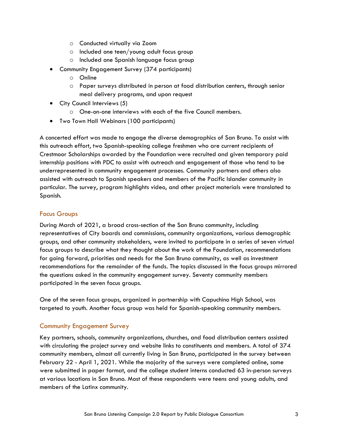- o Conducted virtually via Zoom
- o Included one teen/young adult focus group
- o Included one Spanish language focus group
- Community Engagement Survey (374 participants)
	- o Online
	- o Paper surveys distributed in person at food distribution centers, through senior meal delivery programs, and upon request
- City Council Interviews (5)
	- o One-on-one interviews with each of the five Council members.
- Two Town Hall Webinars (100 participants)

A concerted effort was made to engage the diverse demographics of San Bruno. To assist with this outreach effort, two Spanish-speaking college freshmen who are current recipients of Crestmoor Scholarships awarded by the Foundation were recruited and given temporary paid internship positions with PDC to assist with outreach and engagement of those who tend to be underrepresented in community engagement processes. Community partners and others also assisted with outreach to Spanish speakers and members of the Pacific Islander community in particular. The survey, program highlights video, and other project materials were translated to Spanish.

#### <span id="page-3-0"></span>Focus Groups

During March of 2021, a broad cross-section of the San Bruno community, including representatives of City boards and commissions, community organizations, various demographic groups, and other community stakeholders, were invited to participate in a series of seven virtual focus groups to describe what they thought about the work of the Foundation, recommendations for going forward, priorities and needs for the San Bruno community, as well as investment recommendations for the remainder of the funds. The topics discussed in the focus groups mirrored the questions asked in the community engagement survey. Seventy community members participated in the seven focus groups.

One of the seven focus groups, organized in partnership with Capuchino High School, was targeted to youth. Another focus group was held for Spanish-speaking community members.

#### <span id="page-3-1"></span>Community Engagement Survey

Key partners, schools, community organizations, churches, and food distribution centers assisted with circulating the project survey and website links to constituents and members. A total of 374 community members, almost all currently living in San Bruno, participated in the survey between February 22 - April 1, 2021. While the majority of the surveys were completed online, some were submitted in paper format, and the college student interns conducted 63 in-person surveys at various locations in San Bruno. Most of these respondents were teens and young adults, and members of the Latinx community.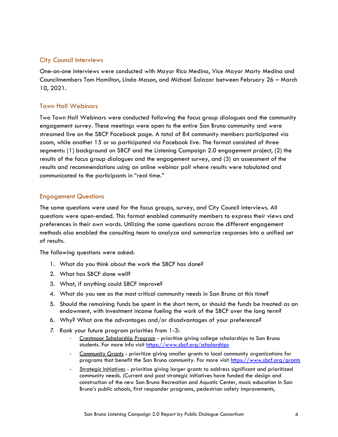### <span id="page-4-0"></span>City Council Interviews

One-on-one interviews were conducted with Mayor Rico Medina, Vice Mayor Marty Medina and Councilmembers Tom Hamilton, Linda Mason, and Michael Salazar between February 26 – March 10, 2021.

## <span id="page-4-1"></span>Town Hall Webinars

Two Town Hall Webinars were conducted following the focus group dialogues and the community engagement survey. These meetings were open to the entire San Bruno community and were streamed live on the SBCF Facebook page. A total of 84 community members participated via zoom, while another 15 or so participated via Facebook live. The format consisted of three segments: (1) background on SBCF and the Listening Campaign 2.0 engagement project, (2) the results of the focus group dialogues and the engagement survey, and (3) an assessment of the results and recommendations using an online webinar poll where results were tabulated and communicated to the participants in "real time."

#### <span id="page-4-2"></span>Engagement Questions

The same questions were used for the focus groups, survey, and City Council interviews. All questions were open-ended. This format enabled community members to express their views and preferences in their own words. Utilizing the same questions across the different engagement methods also enabled the consulting team to analyze and summarize responses into a unified set of results.

The following questions were asked:

- 1. What do you think about the work the SBCF has done?
- 2. What has SBCF done well?
- 3. What, if anything could SBCF improve?
- 4. What do you see as the most critical community needs in San Bruno at this time?
- 5. Should the remaining funds be spent in the short term, or should the funds be treated as an endowment, with investment income fueling the work of the SBCF over the long term?
- 6. Why? What are the advantages and/or disadvantages of your preference?
- *7.* Rank your future program priorities from 1-3:
	- Crestmoor Scholarship Program prioritize giving college scholarships to San Bruno students. For more info visit [https://www.sbcf.org/scholarships](about:blank)
	- Community Grants prioritize giving smaller grants to local community organizations for programs that benefit the San Bruno community. For more visit [https://www.sbcf.org/grants](about:blank)
	- Strategic Initiatives prioritize giving larger grants to address significant and prioritized community needs. (Current and past strategic initiatives have funded the design and construction of the new San Bruno Recreation and Aquatic Center, music education in San Bruno's public schools, first responder programs, pedestrian safety improvements,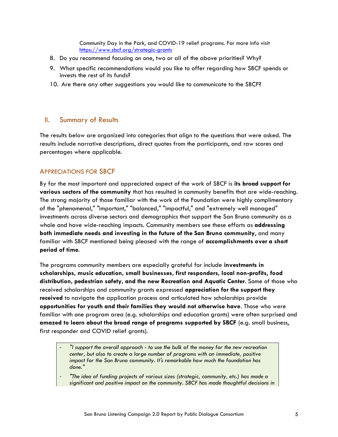Community Day in the Park, and COVID-19 relief programs. For more info visit [https://www.sbcf.org/strategic-grants](about:blank)

- 8. Do you recommend focusing on one, two or all of the above priorities? Why?
- 9. What specific recommendations would you like to offer regarding how SBCF spends or invests the rest of its funds?
- 10. Are there any other suggestions you would like to communicate to the SBCF?

#### <span id="page-5-0"></span>II. Summary of Results

The results below are organized into categories that align to the questions that were asked. The results include narrative descriptions, direct quotes from the participants, and raw scores and percentages where applicable.

## <span id="page-5-1"></span>APPRECIATIONS FOR SBCF

By far the most important and appreciated aspect of the work of SBCF is **its broad support for various sectors of the community** that has resulted in community benefits that are wide-reaching. The strong majority of those familiar with the work of the Foundation were highly complimentary of the "phenomenal," "important," "balanced," "impactful," and "extremely well managed" investments across diverse sectors and demographics that support the San Bruno community as a whole and have wide-reaching impacts. Community members see these efforts as **addressing both immediate needs and investing in the future of the San Bruno community**, and many familiar with SBCF mentioned being pleased with the range of **accomplishments over a short period of time**.

The programs community members are especially grateful for include **investments in scholarships, music education, small businesses, first responders, local non-profits, food distribution, pedestrian safety, and the new Recreation and Aquatic Center**. Some of those who received scholarships and community grants expressed **appreciation for the support they received** to navigate the application process and articulated how scholarships provide **opportunities for youth and their families they would not otherwise have**. Those who were familiar with one program area (e.g. scholarships and education grants) were often surprised and **amazed to learn about the broad range of programs supported by SBCF** (e.g. small business, first responder and COVID relief grants).

- *"I support the overall approach - to use the bulk of the money for the new recreation center, but also to create a large number of programs with an immediate, positive impact for the San Bruno community. It's remarkable how much the foundation has done."*
- *"The idea of funding projects of various sizes (strategic, community, etc.) has made a significant and positive impact on the community. SBCF has made thoughtful decisions in*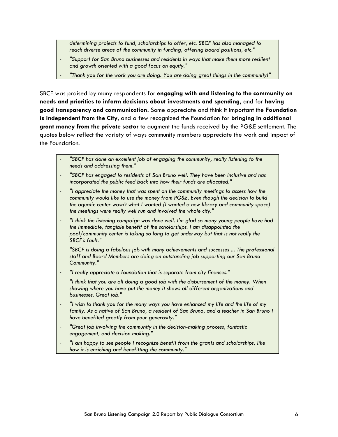*determining projects to fund, scholarships to offer, etc. SBCF has also managed to reach diverse areas of the community in funding, offering board positions, etc."*

- *"Support for San Bruno businesses and residents in ways that make them more resilient and growth oriented with a good focus on equity."*
- *"Thank you for the work you are doing. You are doing great things in the community!"*

SBCF was praised by many respondents for **engaging with and listening to the community on needs and priorities to inform decisions about investments and spending**, and for **having good transparency and communication**. Some appreciate and think it important the **Foundation is independent from the City**, and a few recognized the Foundation for **bringing in additional grant money from the private sector** to augment the funds received by the PG&E settlement. The quotes below reflect the variety of ways community members appreciate the work and impact of the Foundation.

- *"SBCF has done an excellent job of engaging the community, really listening to the needs and addressing them."*
- *"SBCF has engaged to residents of San Bruno well. They have been inclusive and has incorporated the public feed back into how their funds are allocated."*
- *"I appreciate the money that was spent on the community meetings to assess how the community would like to use the money from PG&E. Even though the decision to build the aquatic center wasn't what I wanted (I wanted a new library and community space) the meetings were really well run and involved the whole city."*
- *"I think the listening campaign was done well. I'm glad so many young people have had the immediate, tangible benefit of the scholarships. I am disappointed the pool/community center is taking so long to get underway but that is not really the SBCF's fault."*
- *"SBCF is doing a fabulous job with many achievements and successes ... The professional staff and Board Members are doing an outstanding job supporting our San Bruno Community."*
- *"I really appreciate a foundation that is separate from city finances."*
- *"I think that you are all doing a good job with the disbursement of the money. When showing where you have put the money it shows all different organizations and businesses. Great job."*
- *"I wish to thank you for the many ways you have enhanced my life and the life of my*  family. As a native of San Bruno, a resident of San Bruno, and a teacher in San Bruno I *have benefited greatly from your generosity."*
- *"Great job involving the community in the decision-making process, fantastic engagement, and decision making."*
- <span id="page-6-0"></span>- *"I am happy to see people I recognize benefit from the grants and scholarships, like how it is enriching and benefitting the community."*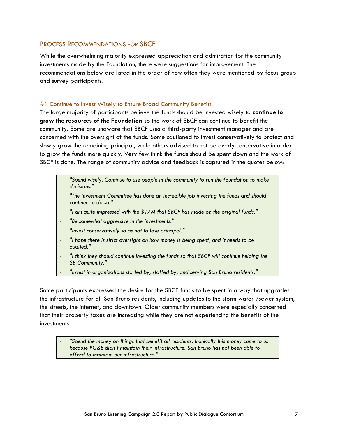### PROCESS RECOMMENDATIONS FOR SBCF

While the overwhelming majority expressed appreciation and admiration for the community investments made by the Foundation, there were suggestions for improvement. The recommendations below are listed in the order of how often they were mentioned by focus group and survey participants.

#### #1 Continue to Invest Wisely to Ensure Broad Community Benefits

The large majority of participants believe the funds should be invested wisely to **continue to grow the resources of the Foundation** so the work of SBCF can continue to benefit the community. Some are unaware that SBCF uses a third-party investment manager and are concerned with the oversight of the funds. Some cautioned to invest conservatively to protect and slowly grow the remaining principal, while others advised to not be overly conservative in order to grow the funds more quickly. Very few think the funds should be spent down and the work of SBCF is done. The range of community advice and feedback is captured in the quotes below:

- *"Spend wisely. Continue to use people in the community to run the foundation to make decisions."*
- *"The Investment Committee has done an incredible job investing the funds and should continue to do so."*
- *"I am quite impressed with the \$17M that SBCF has made on the original funds."*
- *"Be somewhat aggressive in the investments."*
- *"Invest conservatively so as not to lose principal."*
- *"I hope there is strict oversight on how money is being spent, and it needs to be audited."*
- *"I think they should continue investing the funds so that SBCF will continue helping the SB Community."*
- *"Invest in organizations started by, staffed by, and serving San Bruno residents."*

Some participants expressed the desire for the SBCF funds to be spent in a way that upgrades the infrastructure for all San Bruno residents, including updates to the storm water /sewer system, the streets, the internet, and downtown. Older community members were especially concerned that their property taxes are increasing while they are not experiencing the benefits of the investments.

- *"Spend the money on things that benefit all residents. Ironically this money came to us because PG&E didn't maintain their infrastructure. San Bruno has not been able to afford to maintain our infrastructure."*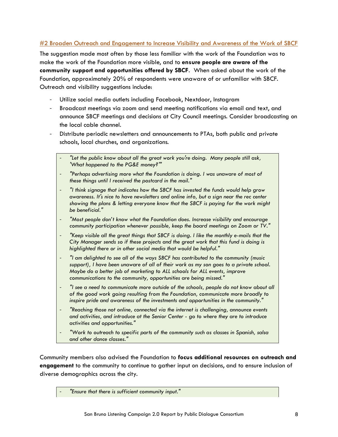### #2 Broaden Outreach and Engagement to Increase Visibility and Awareness of the Work of SBCF

The suggestion made most often by those less familiar with the work of the Foundation was to make the work of the Foundation more visible, and to **ensure people are aware of the community support and opportunities offered by SBCF**. When asked about the work of the Foundation, approximately 20% of respondents were unaware of or unfamiliar with SBCF. Outreach and visibility suggestions include:

- Utilize social media outlets including Facebook, Nextdoor, Instagram
- Broadcast meetings via zoom and send meeting notifications via email and text, and announce SBCF meetings and decisions at City Council meetings. Consider broadcasting on the local cable channel.
- Distribute periodic newsletters and announcements to PTAs, both public and private schools, local churches, and organizations.
	- "Let the public know about all the great work you're doing. Many people still ask, *'What happened to the PG&E money?'"*
	- *"Perhaps advertising more what the Foundation is doing. I was unaware of most of these things until I received the postcard in the mail."*
	- *"I think signage that indicates how the SBCF has invested the funds would help grow awareness. It's nice to have newsletters and online info, but a sign near the rec center showing the plans & letting everyone know that the SBCF is paying for the work might be beneficial."*
	- *"Most people don't know what the Foundation does. Increase visibility and encourage community participation whenever possible, keep the board meetings on Zoom or TV."*
	- *"Keep visible all the great things that SBCF is doing. I like the monthly e-mails that the City Manager sends so if these projects and the great work that this fund is doing is highlighted there or in other social media that would be helpful."*
	- *"I am delighted to see all of the ways SBCF has contributed to the community (music*  support), I have been unaware of all of their work as my son goes to a private school. *Maybe do a better job of marketing to ALL schools for ALL events, improve communications to the community, opportunities are being missed."*
	- *"I see a need to communicate more outside of the schools, people do not know about all of the good work going resulting from the Foundation, communicate more broadly to inspire pride and awareness of the investments and opportunities in the community."*
	- *"Reaching those not online, connected via the internet is challenging, announce events and activities, and introduce at the Senior Center - go to where they are to introduce activities and opportunities."*
	- *"Work to outreach to specific parts of the community such as classes in Spanish, salsa and other dance classes."*

Community members also advised the Foundation to **focus additional resources on outreach and engagement** to the community to continue to gather input on decisions, and to ensure inclusion of diverse demographics across the city.

- *"Ensure that there is sufficient community input."*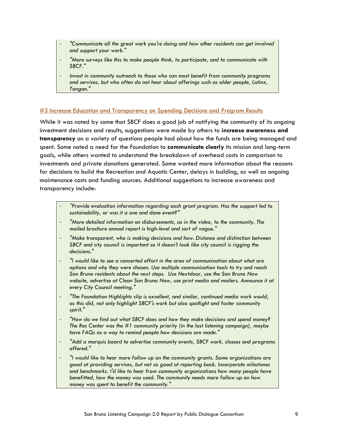- *"Communicate all the great work you're doing and how other residents can get involved and support your work."*
- *"More surveys like this to make people think, to participate, and to communicate with SBCF."*
- *Invest in community outreach to those who can most benefit from community programs and services, but who often do not hear about offerings such as older people, Latinx, Tongan."*

#### #3 Increase Education and Transparency on Spending Decisions and Program Results

While it was noted by some that SBCF does a good job of notifying the community of its ongoing investment decisions and results, suggestions were made by others to **increase awareness and transparency** on a variety of questions people had about how the funds are being managed and spent. Some noted a need for the Foundation to **communicate clearly** its mission and long-term goals, while others wanted to understand the breakdown of overhead costs in comparison to investments and private donations generated. Some wanted more information about the reasons for decisions to build the Recreation and Aquatic Center, delays in building, as well as ongoing maintenance costs and funding sources. Additional suggestions to increase awareness and transparency include:

- *"Provide evaluation information regarding each grant program. Has the support led to sustainability, or was it a one and done event?"*
- *"More detailed information on disbursements, as in the video, to the community. The mailed brochure annual report is high-level and sort of vague."*
- *"Make transparent, who is making decisions and how. Distance and distinction between SBCF and city council is important so it doesn't look like city council is rigging the decisions."*
- *"I would like to see a concerted effort in the area of communication about what are options and why they were chosen. Use multiple communication tools to try and reach San Bruno residents about the next steps. Use Nextdoor, use the San Bruno Now website, advertise at Clean San Bruno Now, use print media and mailers. Announce it at every City Council meeting."*
- *"The Foundation Highlights clip is excellent, and similar, continued media work would, as this did, not only highlight SBCF's work but also spotlight and foster community spirit."*
- *"How do we find out what SBCF does and how they make decisions and spend money? The Rec Center was the #1 community priority (in the last listening campaign), maybe have FAQs as a way to remind people how decisions are made."*
- *"Add a marquis board to advertise community events, SBCF work, classes and programs offered."*
- *"I would like to hear more follow up on the community grants. Some organizations are good at providing services, but not so good at reporting back. Incorporate milestones and benchmarks. I'd like to hear from community organizations how many people have benefitted, how the money was used. The community needs more follow up on how money was spent to benefit the community."*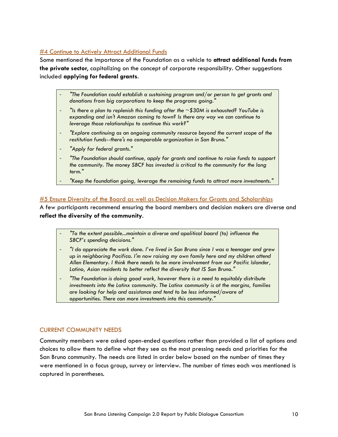#### **#4 Continue to Actively Attract Additional Funds**

Some mentioned the importance of the Foundation as a vehicle to **attract additional funds from the private sector**, capitalizing on the concept of corporate responsibility. Other suggestions included **applying for federal grants**.

- *"The Foundation could establish a sustaining program and/or person to get grants and donations from big corporations to keep the programs going."*
- *"Is there a plan to replenish this funding after the ~\$30M is exhausted? YouTube is expanding and isn't Amazon coming to town? Is there any way we can continue to leverage those relationships to continue this work?"*
- *"Explore continuing as an ongoing community resource beyond the current scope of the restitution funds--there's no comparable organization in San Bruno."*
- *"Apply for federal grants."*
- *"The Foundation should continue, apply for grants and continue to raise funds to support the community. The money SBCF has invested is critical to the community for the long term."*
- *"Keep the foundation going, leverage the remaining funds to attract more investments."*

#### #5 Ensure Diversity of the Board as well as Decision Makers for Grants and Scholarships

A few participants recommend ensuring the board members and decision makers are diverse and **reflect the diversity of the community**.

- *"To the extent possible...maintain a diverse and apolitical board (to) influence the SBCF's spending decisions."*
- *"I do appreciate the work done. I've lived in San Bruno since I was a teenager and grew up in neighboring Pacifica. I'm now raising my own family here and my children attend Allen Elementary. I think there needs to be more involvement from our Pacific Islander, Latino, Asian residents to better reflect the diversity that IS San Bruno."*
- *"The Foundation is doing good work, however there is a need to equitably distribute investments into the Latinx community. The Latinx community is at the margins, families are looking for help and assistance and tend to be less informed/aware of opportunities. There can more investments into this community."*

#### <span id="page-10-0"></span>CURRENT COMMUNITY NEEDS

Community members were asked open-ended questions rather than provided a list of options and choices to allow them to define what they see as the most pressing needs and priorities for the San Bruno community. The needs are listed in order below based on the number of times they were mentioned in a focus group, survey or interview. The number of times each was mentioned is captured in parentheses.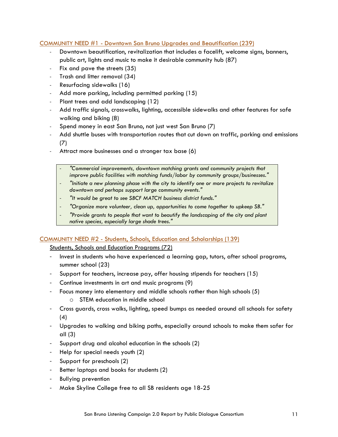#### COMMUNITY NEED #1 - Downtown San Bruno Upgrades and Beautification (239)

- Downtown beautification, revitalization that includes a facelift, welcome signs, banners, public art, lights and music to make it desirable community hub (87)
- Fix and pave the streets (35)
- Trash and litter removal (34)
- Resurfacing sidewalks (16)
- Add more parking, including permitted parking (15)
- Plant trees and add landscaping (12)
- Add traffic signals, crosswalks, lighting, accessible sidewalks and other features for safe walking and biking (8)
- Spend money in east San Bruno, not just west San Bruno (7)
- Add shuttle buses with transportation routes that cut down on traffic, parking and emissions (7)
- Attract more businesses and a stronger tax base (6)
	- *"Commercial improvements, downtown matching grants and community projects that improve public facilities with matching funds/labor by community groups/businesses."*
	- *"Initiate a new planning phase with the city to identify one or more projects to revitalize downtown and perhaps support large community events."*
	- *"It would be great to see SBCF MATCH business district funds."*
	- *"Organize more volunteer, clean up, opportunities to come together to upkeep SB."*
	- *"Provide grants to people that want to beautify the landscaping of the city and plant native species, especially large shade trees."*

#### COMMUNITY NEED #2 - Students, Schools, Education and Scholarships (139)

Students, Schools and Education Programs (72)

- Invest in students who have experienced a learning gap, tutors, after school programs, summer school (23)
- Support for teachers, increase pay, offer housing stipends for teachers (15)
- Continue investments in art and music programs (9)
- Focus money into elementary and middle schools rather than high schools (5) o STEM education in middle school
- Cross guards, cross walks, lighting, speed bumps as needed around all schools for safety (4)
- Upgrades to walking and biking paths, especially around schools to make them safer for all (3)
- Support drug and alcohol education in the schools (2)
- Help for special needs youth (2)
- Support for preschools (2)
- Better laptops and books for students (2)
- Bullying prevention
- Make Skyline College free to all SB residents age 18-25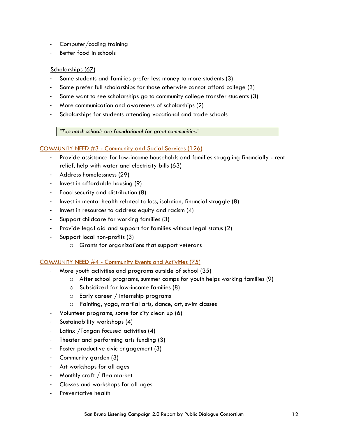- Computer/coding training
- Better food in schools

#### Scholarships (67)

- Some students and families prefer less money to more students (3)
- Some prefer full scholarships for those otherwise cannot afford college (3)
- Some want to see scholarships go to community college transfer students (3)
- More communication and awareness of scholarships (2)
- Scholarships for students attending vocational and trade schools

*"Top notch schools are foundational for great communities."* 

#### COMMUNITY NEED #3 - Community and Social Services (126)

- Provide assistance for low-income households and families struggling financially rent relief, help with water and electricity bills (63)
- Address homelessness (29)
- Invest in affordable housing (9)
- Food security and distribution (8)
- Invest in mental health related to loss, isolation, financial struggle (8)
- Invest in resources to address equity and racism (4)
- Support childcare for working families (3)
- Provide legal aid and support for families without legal status (2)
- Support local non-profits (3)
	- o Grants for organizations that support veterans

#### COMMUNITY NEED #4 - Community Events and Activities (75)

- More youth activities and programs outside of school (35)
	- o After school programs, summer camps for youth helps working families (9)
	- o Subsidized for low-income families (8)
	- o Early career / internship programs
	- o Painting, yoga, martial arts, dance, art, swim classes
- Volunteer programs, some for city clean up (6)
- Sustainability workshops (4)
- Latinx /Tongan focused activities (4)
- Theater and performing arts funding (3)
- Foster productive civic engagement (3)
- Community garden (3)
- Art workshops for all ages
- Monthly craft / flea market
- Classes and workshops for all ages
- Preventative health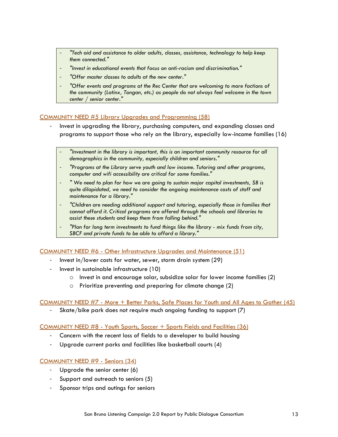- *"Tech aid and assistance to older adults, classes, assistance, technology to help keep them connected."*
- *"Invest in educational events that focus on anti-racism and discrimination."*
- *"Offer master classes to adults at the new center."*
- *"Offer events and programs at the Rec Center that are welcoming to more factions of the community (Latinx, Tongan, etc.) as people do not always feel welcome in the town center / senior center."*

#### COMMUNITY NEED #5 Library Upgrades and Programming (58)

- Invest in upgrading the library, purchasing computers, and expanding classes and programs to support those who rely on the library, especially low-income families (16)
	- *"Investment in the library is important, this is an important community resource for all demographics in the community, especially children and seniors."*
	- *"Programs at the Library serve youth and low income. Tutoring and other programs, computer and wifi accessibility are critical for some families."*
	- *" We need to plan for how we are going to sustain major capital investments, SB is quite dilapidated, we need to consider the ongoing maintenance costs of staff and maintenance for a library."*
	- *"Children are needing additional support and tutoring, especially those in families that cannot afford it. Critical programs are offered through the schools and libraries to assist these students and keep them from falling behind."*
	- *"Plan for long term investments to fund things like the library - mix funds from city, SBCF and private funds to be able to afford a library."*

#### COMMUNITY NEED #6 - Other Infrastructure Upgrades and Maintenance (51)

- Invest in/lower costs for water, sewer, storm drain system (29)
- Invest in sustainable infrastructure (10)
	- o Invest in and encourage solar, subsidize solar for lower income families (2)
	- o Prioritize preventing and preparing for climate change (2)

#### COMMUNITY NEED #7 - More + Better Parks, Safe Places for Youth and All Ages to Gather (45)

- Skate/bike park does not require much ongoing funding to support (7)

#### COMMUNITY NEED #8 - Youth Sports, Soccer + Sports Fields and Facilities (36)

- Concern with the recent loss of fields to a developer to build housing
- Upgrade current parks and facilities like basketball courts (4)

#### COMMUNITY NEED #9 - Seniors (34)

- Upgrade the senior center (6)
- Support and outreach to seniors (5)
- Sponsor trips and outings for seniors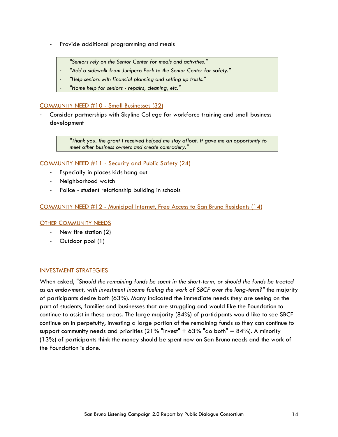- Provide additional programming and meals
	- *"Seniors rely on the Senior Center for meals and activities."*
	- *"Add a sidewalk from Junipero Park to the Senior Center for safety."*
	- *"Help seniors with financial planning and setting up trusts."*
	- *"Home help for seniors - repairs, cleaning, etc."*

#### COMMUNITY NEED #10 - Small Businesses (32)

- Consider partnerships with Skyline College for workforce training and small business development

> - *"Thank you, the grant I received helped me stay afloat. It gave me an opportunity to meet other business owners and create comradery."*

#### COMMUNITY NEED #11 - Security and Public Safety (24)

- Especially in places kids hang out
- Neighborhood watch
- Police student relationship building in schools

COMMUNITY NEED #12 - Municipal Internet, Free Access to San Bruno Residents (14)

#### OTHER COMMUNITY NEEDS

- New fire station (2)
- Outdoor pool (1)

#### <span id="page-14-0"></span>INVESTMENT STRATEGIES

When asked, "*Should the remaining funds be spent in the short-term, or should the funds be treated as an endowment, with investment income fueling the work of SBCF over the long-term?"* the majority of participants desire both (63%). Many indicated the immediate needs they are seeing on the part of students, families and businesses that are struggling and would like the Foundation to continue to assist in these areas. The large majority (84%) of participants would like to see SBCF continue on in perpetuity, investing a large portion of the remaining funds so they can continue to support community needs and priorities  $(21\%$  "invest" + 63% "do both" = 84%). A minority (13%) of participants think the money should be spent now on San Bruno needs and the work of the Foundation is done.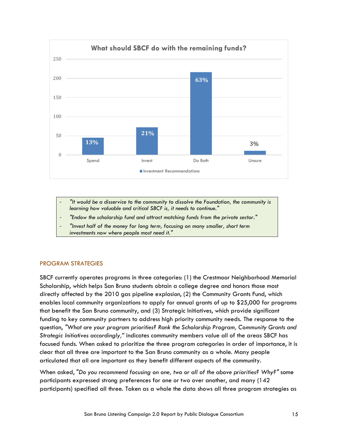

- *"It would be a disservice to the community to dissolve the Foundation, the community is learning how valuable and critical SBCF is, it needs to continue."*
- *"Endow the scholarship fund and attract matching funds from the private sector."*
- *"Invest half of the money for long term, focusing on many smaller, short term investments now where people most need it."*

#### <span id="page-15-0"></span>PROGRAM STRATEGIES

SBCF currently operates programs in three categories: (1) the Crestmoor Neighborhood Memorial Scholarship, which helps San Bruno students obtain a college degree and honors those most directly affected by the 2010 gas pipeline explosion, (2) the Community Grants Fund, which enables local community organizations to apply for annual grants of up to \$25,000 for programs that benefit the San Bruno community, and (3) Strategic Initiatives, which provide significant funding to key community partners to address high priority community needs. The response to the question, *"What are your program priorities? Rank the Scholarship Program, Community Grants and Strategic Initiatives accordingly,"* indicates community members value all of the areas SBCF has focused funds. When asked to prioritize the three program categories in order of importance, it is clear that all three are important to the San Bruno community as a whole. Many people articulated that all are important as they benefit different aspects of the community.

When asked, "*Do you recommend focusing on one, two or all of the above priorities? Why?"* some participants expressed strong preferences for one or two over another, and many (142 participants) specified all three. Taken as a whole the data shows all three program strategies as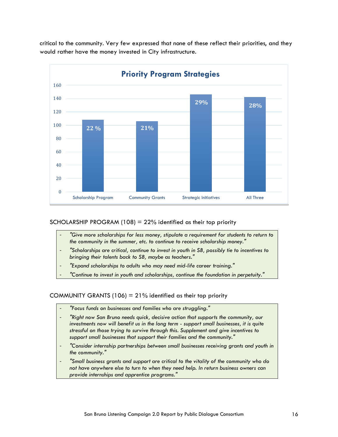critical to the community. Very few expressed that none of these reflect their priorities, and they would rather have the money invested in City infrastructure.



#### SCHOLARSHIP PROGRAM  $(108) = 22\%$  identified as their top priority

- *"Give more scholarships for less money, stipulate a requirement for students to return to the community in the summer, etc. to continue to receive scholarship money."*
- *"Scholarships are critical, continue to invest in youth in SB, possibly tie to incentives to bringing their talents back to SB, maybe as teachers."*
- *"Expand scholarships to adults who may need mid-life career training."*
- *"Continue to invest in youth and scholarships, continue the foundation in perpetuity."*

#### COMMUNITY GRANTS (106) =  $21\%$  identified as their top priority

- *"Focus funds on businesses and families who are struggling."*
- *"Right now San Bruno needs quick, decisive action that supports the community, our investments now will benefit us in the long term - support small businesses, it is quite stressful on those trying to survive through this. Supplement and give incentives to support small businesses that support their families and the community."*
- *"Consider internship partnerships between small businesses receiving grants and youth in the community."*
- *"Small business grants and support are critical to the vitality of the community who do not have anywhere else to turn to when they need help. In return business owners can provide internships and apprentice programs."*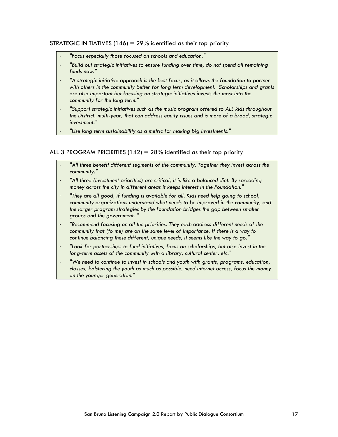#### STRATEGIC INITIATIVES  $(146) = 29\%$  identified as their top priority

- *"Focus especially those focused on schools and education."*
- *"Build out strategic initiatives to ensure funding over time, do not spend all remaining funds now."*
- *"A strategic initiative approach is the best focus, as it allows the foundation to partner with others in the community better for long term development. Scholarships and grants are also important but focusing on strategic initiatives invests the most into the community for the long term."*
- *"Support strategic initiatives such as the music program offered to ALL kids throughout the District, multi-year, that can address equity issues and is more of a broad, strategic investment."*
- *"Use long term sustainability as a metric for making big investments."*

#### ALL 3 PROGRAM PRIORITIES (142) =  $28\%$  identified as their top priority

- *"All three benefit different segments of the community. Together they invest across the community."*
- *"All three (investment priorities) are critical, it is like a balanced diet. By spreading money across the city in different areas it keeps interest in the Foundation."*
- *"They are all good, if funding is available for all. Kids need help going to school, community organizations understand what needs to be improved in the community, and the larger program strategies by the foundation bridges the gap between smaller groups and the government. "*
- *"Recommend focusing on all the priorities. They each address different needs of the community that (to me) are on the same level of importance. If there is a way to continue balancing these different, unique needs, it seems like the way to go."*
- *"Look for partnerships to fund initiatives, focus on scholarships, but also invest in the long-term assets of the community with a library, cultural center, etc."*
- *"We need to continue to invest in schools and youth with grants, programs, education, classes, bolstering the youth as much as possible, need internet access, focus the money on the younger generation."*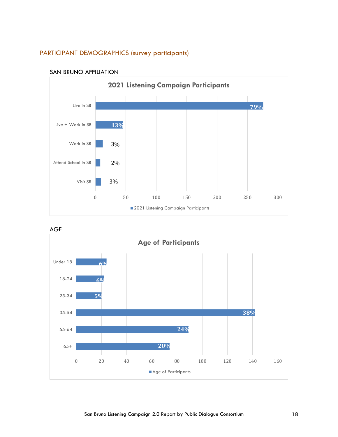## <span id="page-18-0"></span>PARTICIPANT DEMOGRAPHICS (survey participants)



#### SAN BRUNO AFFILIATION



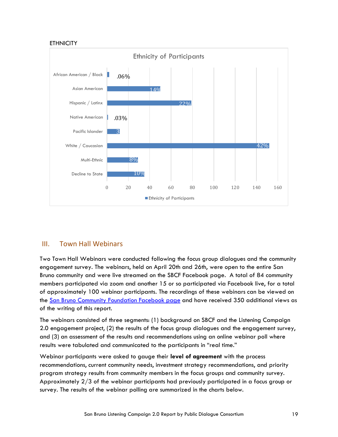#### **ETHNICITY**



## <span id="page-19-0"></span>III. Town Hall Webinars

Two Town Hall Webinars were conducted following the focus group dialogues and the community engagement survey. The webinars, held on April 20th and 26th, were open to the entire San Bruno community and were live streamed on the SBCF Facebook page. A total of 84 community members participated via zoom and another 15 or so participated via Facebook live, for a total of approximately 100 webinar participants. The recordings of these webinars can be viewed on the San Bruno Community [Foundation Facebook page](about:blank) and have received 350 additional views as of the writing of this report.

The webinars consisted of three segments: (1) background on SBCF and the Listening Campaign 2.0 engagement project, (2) the results of the focus group dialogues and the engagement survey, and (3) an assessment of the results and recommendations using an online webinar poll where results were tabulated and communicated to the participants in "real time."

Webinar participants were asked to gauge their **level of agreement** with the process recommendations, current community needs, investment strategy recommendations, and priority program strategy results from community members in the focus groups and community survey. Approximately 2/3 of the webinar participants had previously participated in a focus group or survey. The results of the webinar polling are summarized in the charts below.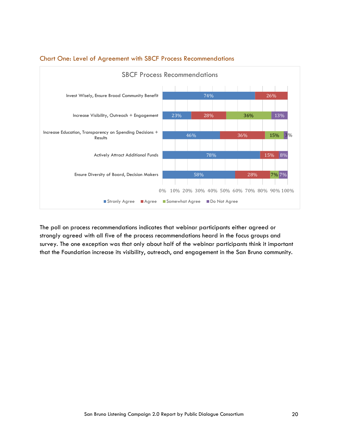

## <span id="page-20-0"></span>Chart One: Level of Agreement with SBCF Process Recommendations

The poll on process recommendations indicates that webinar participants either agreed or strongly agreed with all five of the process recommendations heard in the focus groups and survey. The one exception was that only about half of the webinar participants think it important that the Foundation increase its visibility, outreach, and engagement in the San Bruno community.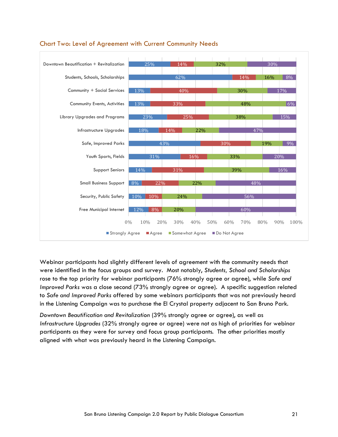

## <span id="page-21-0"></span>Chart Two: Level of Agreement with Current Community Needs

Webinar participants had slightly different levels of agreement with the community needs that were identified in the focus groups and survey. Most notably, *Students, School and Scholarships* rose to the top priority for webinar participants (76% strongly agree or agree), while *Safe and Improved Parks* was a close second (73% strongly agree or agree). A specific suggestion related to *Safe and Improved Parks* offered by some webinars participants that was not previously heard in the Listening Campaign was to purchase the El Crystal property adjacent to San Bruno Park.

*Downtown Beautification and Revitalization* (39% strongly agree or agree), as well as *Infrastructure Upgrades* (32% strongly agree or agree) were not as high of priorities for webinar participants as they were for survey and focus group participants. The other priorities mostly aligned with what was previously heard in the Listening Campaign.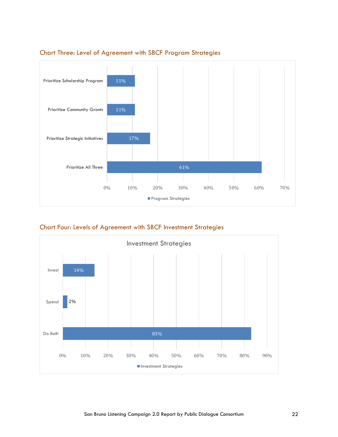

## <span id="page-22-0"></span>Chart Three: Level of Agreement with SBCF Program Strategies

<span id="page-22-1"></span>Chart Four: Levels of Agreement with SBCF Investment Strategies